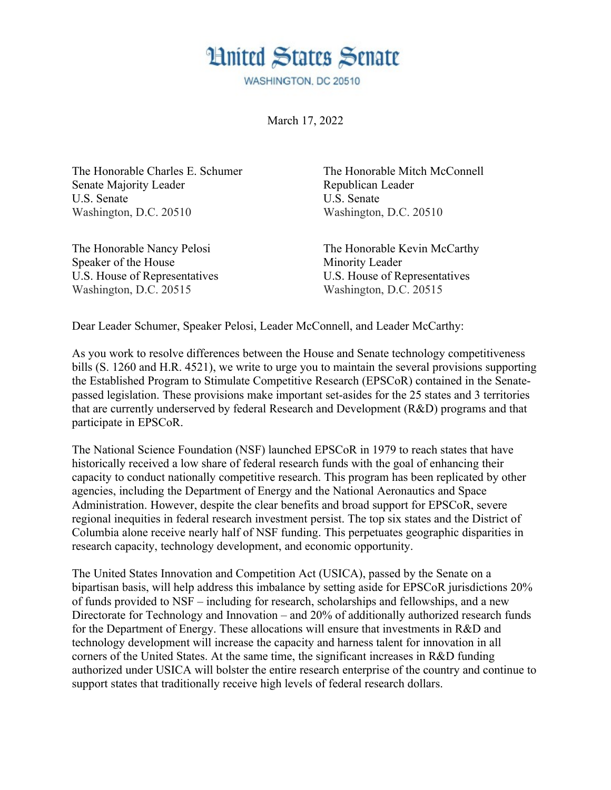## **Hnited States Senate**

WASHINGTON, DC 20510

March 17, 2022

The Honorable Charles E. Schumer The Honorable Mitch McConnell Senate Majority Leader Republican Leader U.S. Senate U.S. Senate Washington, D.C. 20510 Washington, D.C. 20510

Speaker of the House Minority Leader U.S. House of Representatives U.S. House of Representatives Washington, D.C. 20515 Washington, D.C. 20515

The Honorable Nancy Pelosi The Honorable Kevin McCarthy

Dear Leader Schumer, Speaker Pelosi, Leader McConnell, and Leader McCarthy:

As you work to resolve differences between the House and Senate technology competitiveness bills (S. 1260 and H.R. 4521), we write to urge you to maintain the several provisions supporting the Established Program to Stimulate Competitive Research (EPSCoR) contained in the Senatepassed legislation. These provisions make important set-asides for the 25 states and 3 territories that are currently underserved by federal Research and Development (R&D) programs and that participate in EPSCoR.

The National Science Foundation (NSF) launched EPSCoR in 1979 to reach states that have historically received a low share of federal research funds with the goal of enhancing their capacity to conduct nationally competitive research. This program has been replicated by other agencies, including the Department of Energy and the National Aeronautics and Space Administration. However, despite the clear benefits and broad support for EPSCoR, severe regional inequities in federal research investment persist. The top six states and the District of Columbia alone receive nearly half of NSF funding. This perpetuates geographic disparities in research capacity, technology development, and economic opportunity.

The United States Innovation and Competition Act (USICA), passed by the Senate on a bipartisan basis, will help address this imbalance by setting aside for EPSCoR jurisdictions 20% of funds provided to NSF – including for research, scholarships and fellowships, and a new Directorate for Technology and Innovation – and 20% of additionally authorized research funds for the Department of Energy. These allocations will ensure that investments in R&D and technology development will increase the capacity and harness talent for innovation in all corners of the United States. At the same time, the significant increases in R&D funding authorized under USICA will bolster the entire research enterprise of the country and continue to support states that traditionally receive high levels of federal research dollars.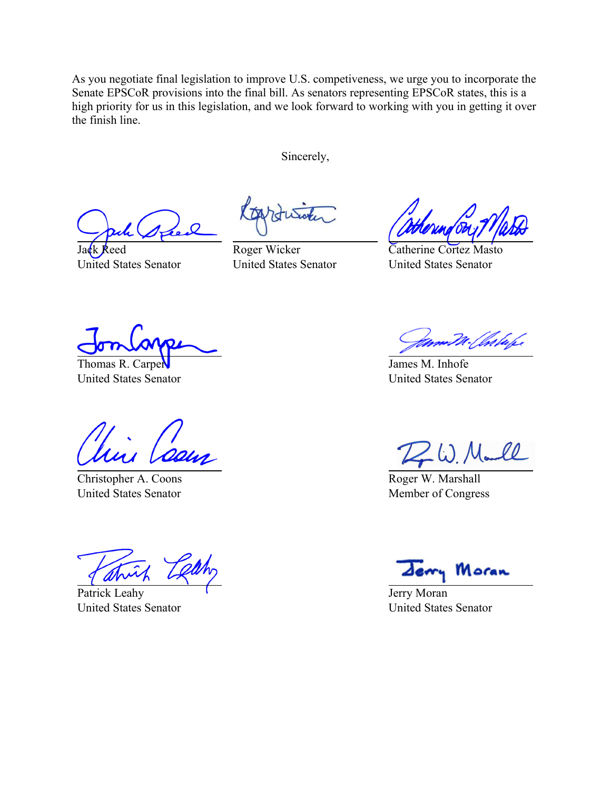As you negotiate final legislation to improve U.S. competiveness, we urge you to incorporate the Senate EPSCoR provisions into the final bill. As senators representing EPSCoR states, this is a high priority for us in this legislation, and we look forward to working with you in getting it over the finish line.

Sincerely,

Jack Reed United States Senator

Roger Wicker United States Senator

Catherine Cortez Masto United States Senator

Thomas R. Carper United States Senator

Christopher A. Coons United States Senator

Patrick Leahy United States Senator

lskape

James M. Inhofe United States Senator

Roger W. Marshall Member of Congress

Moran

Jerry Moran United States Senator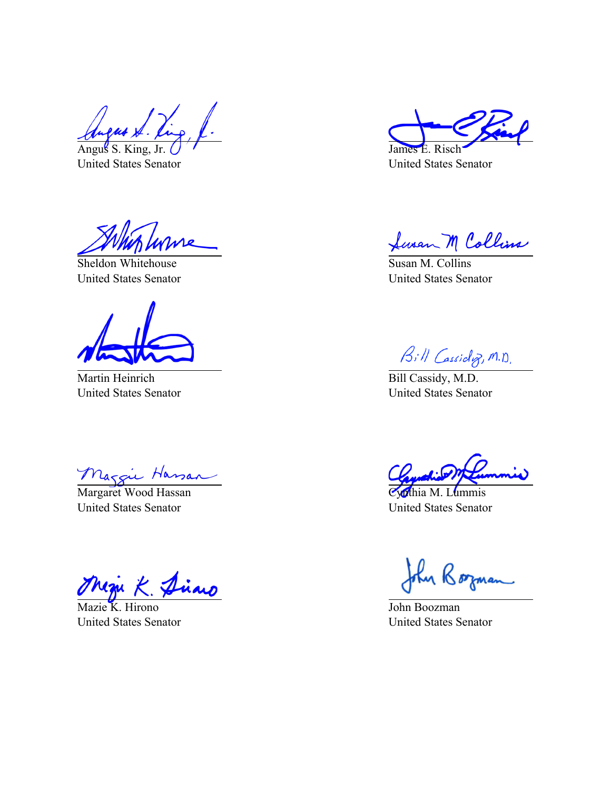Angus S. King, Jr. United States Senator

Sheldon Whitehouse United States Senator

Martin Heinrich United States Senator

Margie Hassan

United States Senator

Mazie K. Hirono United States Senator

James E. Risch United States Senator

fusan M Collins

Susan M. Collins United States Senator

 $\frac{\beta_{i} N_{\text{G}}}{\text{Bill Cassidy}, M.D.}$ 

United States Senator

Cynthia M. Lummis United States Senator

John Borman

John Boozman United States Senator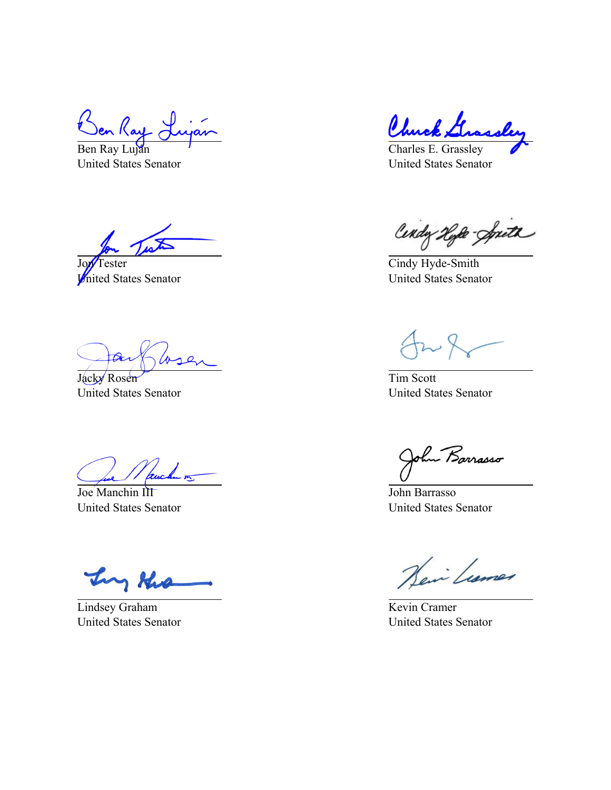Ben Ray Luján United States Senator

Jon<sup>T</sup>ester United States Senator

∕∧

Jacky Rosen United States Senator

uchu <del>ve</del>

Joe Manchin III United States Senator

y the Tr

Lindsey Graham United States Senator

Chu

Charles E. Grassley United States Senator

Cendy Hype-Spreth

Cindy Hyde-Smith United States Senator

Tim Scott United States Senator

Barrasso

John Barrasso United States Senator

Hein Lumer

Kevin Cramer United States Senator